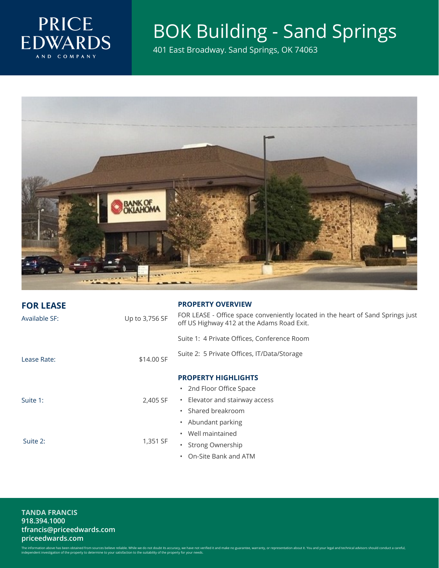

## BOK Building - Sand Springs

401 East Broadway. Sand Springs, OK 74063



| <b>FOR LEASE</b> |                | <b>PROPERTY OVERVIEW</b>                                                                                                      |
|------------------|----------------|-------------------------------------------------------------------------------------------------------------------------------|
| Available SF:    | Up to 3,756 SF | FOR LEASE - Office space conveniently located in the heart of Sand Springs just<br>off US Highway 412 at the Adams Road Exit. |
|                  |                | Suite 1: 4 Private Offices, Conference Room                                                                                   |
| Lease Rate:      | \$14.00 SF     | Suite 2: 5 Private Offices, IT/Data/Storage                                                                                   |
|                  |                | <b>PROPERTY HIGHLIGHTS</b>                                                                                                    |
| Suite 1:         | 2,405 SF       | • 2nd Floor Office Space                                                                                                      |
|                  |                | • Elevator and stairway access                                                                                                |
|                  |                | Shared breakroom                                                                                                              |
| Suite 2:         | 1,351 SF       | • Abundant parking                                                                                                            |
|                  |                | Well maintained                                                                                                               |
|                  |                | Strong Ownership                                                                                                              |
|                  |                | On-Site Bank and ATM                                                                                                          |

**TANDA FRANCIS** 918.394.1000 tfrancis@priceedwards.com priceedwards.com

The information above has been obtained from sources believe reliable. While we do not doubt its accuracy, we have not verified it and make no guarantee, warranty, or representation about it. You and your legal and technic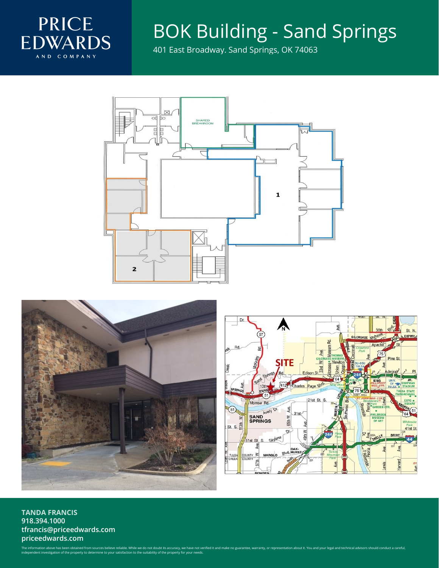

## BOK Building - Sand Springs

401 East Broadway. Sand Springs, OK 74063







**TANDA FRANCIS** 918.394.1000 tfrancis@priceedwards.com priceedwards.com

The information above has been obtained from sources believe reliable. While we do not doubt its accuracy, we have not verified it and make no guarantee, warranty, or representation about it. You and your legal and technic